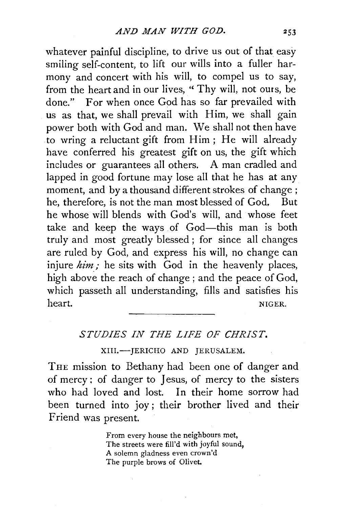whatever painful discipline, to drive us out of that easy smiling self-content, to lift our wills into a fuller harmony and concert with his will, to compel us to say, from the heart and in our lives, "Thy will, not ours, be done." For when once God has so far prevailed with us as that, we shall prevail with Him, we shall gain power both with God and man. We shall not then have to wring a reluctant gift from Him ; He will already have conferred his greatest gift on us, the gift which includes or guarantees all others. A man cradled and lapped in good fortune may lose all that he has at any moment, and by a thousand different strokes of change ; he, therefore, is not the man most blessed of God, But he whose will blends with God's will, and whose feet take and keep the ways of God—this man is both truly and most greatly blessed ; for since all changes are ruled by God, and express his will, no change can injure  $him$ ; he sits with  $God$  in the heavenly places, high above the reach of change ; and the peace of God, which passeth all understanding, fills and satisfies his heart. NIGER.

## *STUDIES IN THE LIFE OF CHRIST.*

## XIII.-JERICHO AND JERUSALEM.

THE mission to Bethany had been one of danger and of mercy: of danger to Jesus, of mercy to the sisters who had loved and lost. In their home sorrow had been turned into joy; their brother lived and their Friend was present.

> From every house the neighbours met, The streets were fill'd with joyful sound, A solemn gladness even crown'd The purple brows of Olivet.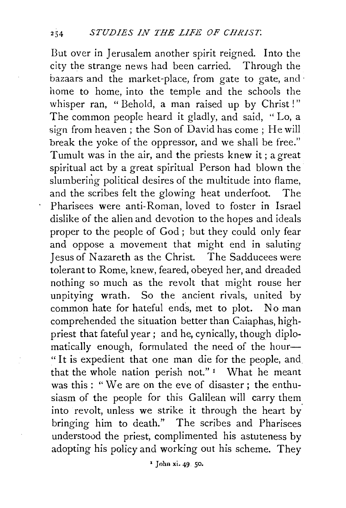But over in Jerusalem another spirit reigned. Into the city the strange news had been carried. Through the bazaars and the market-place, from gate to gate, and · home to home, into the temple and the schools the whisper ran, " Behold, a man raised up by Christ!" The common people heard it gladly, and said, '' Lo, a sign from heaven; the Son of David has come; He will break the yoke of the oppressor, and we shall be free." Tumult was in the air, and the priests knew it ; a great spiritual act by a great spiritual Person had blown the slumbering political desires of the multitude into flame, and the scribes felt the glowing heat underfoot. The Pharisees were anti-Roman, loved to foster in Israel dislike of the alien and devotion to the hopes and ideals proper to the people of God ; but they could only fear and oppose a movement that might end in saluting Jesus of Nazareth as the Christ. The Sadducees were tolerant to Rome, knew, feared, obeyed her, and dreaded nothing so much as the revolt that might rouse her unpitying wrath. So the ancient rivals, united by common hate for hateful ends, met to plot. No man comprehended the situation better than Caiaphas, highpriest that fateful year; and he, cynically, though diplomatically enough, formulated the need of the hour-" It is expedient that one man die for the people, and that the whole nation perish not." $I$  What he meant was this : " We are on the eve of disaster ; the enthusiasm of the people for this Galilean will carry them into revolt, unless we strike it through the heart by. bringing him to death." The scribes and Pharisees understood the priest, complimented his astuteness by adopting his policy and working out his scheme. They

1 John xi. 49. 50.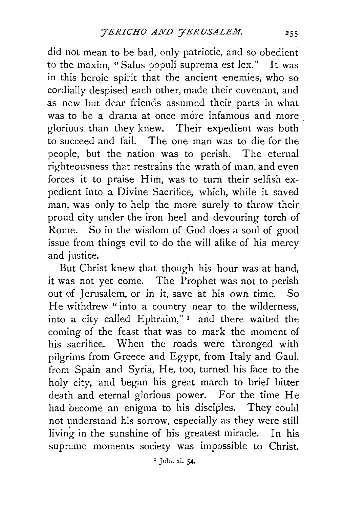did not mean to be bad, only patriotic, and so obedient to the maxim, "Salus populi suprema est lex." It was in this heroic spirit that the ancient enemies, who so cordially despised each other, made their covenant, and as new but dear friends assumed their parts in what was to be a drama at once more infamous and more glorious than they knew. Their expedient was both to succeed and fail. The one man was to die for the people, but the nation was to perish. The eternal righteousness that restrains the wrath of man, and even forces it to praise Him, was to turn their selfish expedient into a Divine Sacrifice, which, while it saved man, was only to help the more surely to throw their proud city under the iron heel and devouring torch of Rome. So in the wisdom of God does a soul of good issue from things evil to do the will alike of his mercy and justice.

But Christ knew that though his hour was at hand, it was not yet come. The Prophet was not to perish out of Jerusalem, or in it, save at his own time. So He withdrew "into a country near to the wilderness, into a city called Ephraim," 1 and there waited the coming of the feast that was to mark the moment of his sacrifice. When the roads were thronged with pilgrims from Greece and Egypt, from Italy and Gaul, from Spain and Syria, He, too, turned his face to the holy city, and began his great march to brief bitter death and eternal glorious power. For the time He had become an enigma to his disciples. They could not understand his sorrow, especially as they were still living in the sunshine of his greatest miracle. In his supreme moments society was impossible to Christ.

*'* John xi. 54•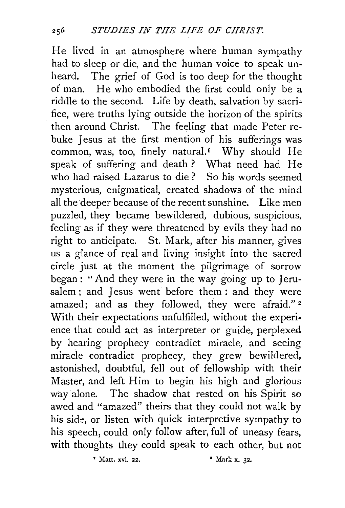He lived in an atmosphere where human sympathy had to sleep or die, and the human voice to speak unheard. The grief of God is too deep for the thought of man. He who embodied the first could only be a riddle to the second. Life by death, salvation by sacrifice, were truths lying outside the horizon of the spirits . then around Christ. The feeling that made Peter rebuke Jesus at the first mention of his sufferings was common, was, too, finely natural.<sup>1</sup> Why should He speak of suffering and death? What need had He who had raised Lazarus to die ? So his words seemed mysterious, enigmatical, created shadows of the mind all the deeper because of the recent sunshine. Like men puzzled, they became bewildered, dubious, suspicious, feeling as if they were threatened by evils they had no right to anticipate. St. Mark, after his manner, gives us a glance of real and living insight into the sacred circle just at the moment the pilgrimage of sorrow began : "And they were in the way going up to Jerusalem ; and Jesus went before them : and they were amazed; and as they followed, they were afraid."<sup>2</sup> With their expectations unfulfilled, without the experience that could act as interpreter or guide, perplexed by hearing prophecy contradict miracle, and seeing miracle contradict prophecy, they grew bewildered, astonished, doubtful, fell out of fellowship with their Master, and left Him to begin his high and glorious way alone. The shadow that rested on his Spirit so awed and "amazed" theirs that they could not walk by his side, or listen with quick interpretive sympathy to his speech, could only follow after, full of uneasy fears, with thoughts they could speak to each other, but not

*'* Matt. xvi. 22. • Mark x. 32.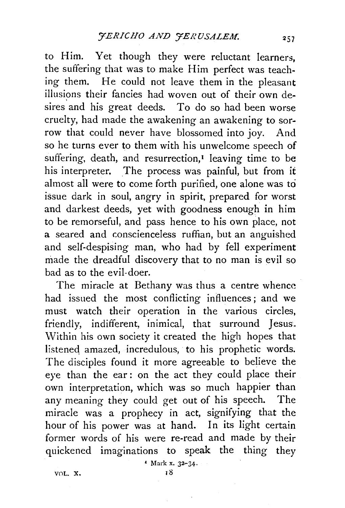to Him. Yet though they were reluctant learners, the suffering that was to make Him perfect was teaching them. He could not leave them in the pleasant illusions their fancies had woven out of their own desires and his great deeds. To do so had been worse cruelty, had made the awakening an awakening to sorrow that could never have blossomed into joy. And so he turns ever to them with his unwelcome speech of suffering, death, and resurrection,<sup> $I$ </sup> leaving time to be his interpreter. The process was painful, but from it almost all were to come forth purified, one alone was to issue dark in soul, angry in spirit, prepared for worst and darkest deeds, yet with goodness enough in him to be remorseful, and pass hence to his own place, not a seared and conscienceless ruffian, but an anguished and self-despising man, who had by fell experiment made the dreadful discovery that to no man is evil so bad as to the evil-doer.

The miracle at Bethany was thus a centre whence had issued the most conflicting influences ; and we must watch their operation in the various circles, friendly, indifferent, inimical, that surround Jesus. Within his own society it created the high hopes that listeneq amazed, incredulous, to his prophetic words. The disciples found it more agreeable to believe the eye than the ear : on the act they could place their own interpretation, which was so much happier than any meaning they could get out of his speech. The miracle was a prophecy in act, signifying that the hour of his power was at hand. In its light certain former words of his were re-read and made by their quickened imaginations to speak the thing they

 $Mark x. 32-34.$ 

VOL.  $\mathbf{x}$ ,  $\qquad \qquad$   $\qquad$   $\qquad$   $\qquad$   $\qquad$   $\qquad$   $\qquad$   $\qquad$   $\qquad$   $\qquad$   $\qquad$   $\qquad$   $\qquad$   $\qquad$   $\qquad$   $\qquad$   $\qquad$   $\qquad$   $\qquad$   $\qquad$   $\qquad$   $\qquad$   $\qquad$   $\qquad$   $\qquad$   $\qquad$   $\qquad$   $\qquad$   $\qquad$   $\qquad$   $\qquad$   $\qquad$   $\qquad$   $\qquad$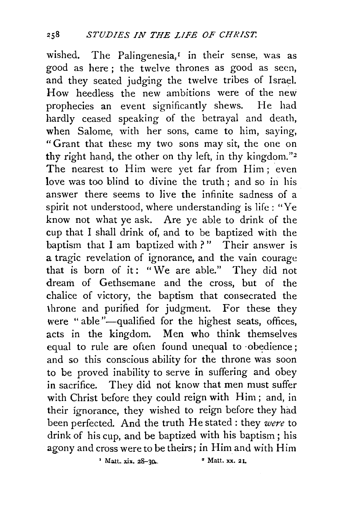wished. The Palingenesia, $r$  in their sense, was as good as here; the twelve thrones as good as seen, and they seated judging the twelve tribes of lsrad. How heedless the new ambitions were of the new prophecies an event significantly shews. He had hardly ceased speaking of the betrayal and death, when Salome, with her sons, came to him, saying, "Grant that these my two sons may sit, the one on thy right hand, the other on thy left, in thy kingdom."<sup>2</sup> The nearest to Him were yet far from Him; even love was too blind to divine the truth ; and so in his answer there seems to live the infinite sadness of a spirit not understood, where understanding is life : "Ye know not what ye ask. Are ye able to drink of the cup that I shall drink of, and to be baptized with the baptism that I am baptized with ?" Their answer is a tragic revelation of ignorance, and the vain courage that is born of it: "We are able." They did not dream of Gethsemane and the cross, but of the chalice of victory, the baptism that consecrated the \hrone and purified for judgment. For these they were "able"-qualified for the highest seats, offices, acts in the kingdom. Men who think themselves equal to rule are often found unequal to obedience; and so this conscious ability for the throne was soon to be proved inability to serve in suffering and obey in sacrifice. They did not know that men must suffer with Christ before they could reign with Him; and, in their ignorance, they wished to reign before they had been perfected. And the truth He stated : they were to drink of his cup, and be baptized with his baptism; his agony and cross were to be theirs; in Him and with Him

 $'$  Matt. xix. 28-30. •  $'$  Matt. xx. 21.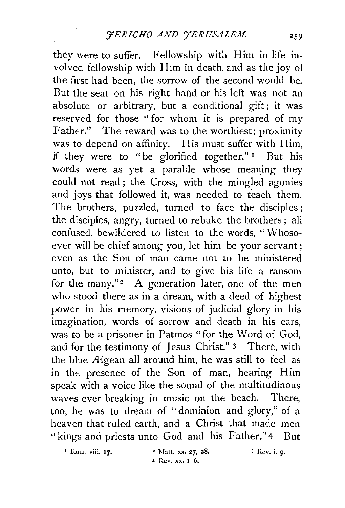they were to suffer. Fellowship with Him in life involved fellowship with Him in death, and as the joy of the first had been, the sorrow of the second would be. But the seat on his right hand or his left was not an absolute or arbitrary, but a conditional gift; it was reserved for those '' for whom it is prepared of my Father." The reward was to the worthiest; proximity was to depend on affinity. His must suffer with Him, if they were to "be glorified together." 1 But his words were as yet a parable whose meaning they could not read ; the Cross, with the mingled agonies and joys that followed it, was needed to teach them. The brothers, puzzled, turned to face the disciples; the disciples, angry, turned to rebuke the brothers; all confused, bewildered to listen to the words, "Whosoever will be chief among you, let him be your servant ; even as the Son of man came not to be ministered unto, but to minister, and to give his life a ransom for the many."<sup>2</sup> A generation later, one of the men who stood there as in a dream, with a deed of highest power in his memory, visions of judicial glory in his imagination, words of sorrow and death in his ears, was to be a prisoner in Patmos "for the Word of God, and for the testimony of Jesus Christ." 3 There, with the blue  $\overline{E}$ gean all around him, he was still to feel as in the presence of the Son of man, hearing Him speak with a voice like the sound of the multitudinous waves ever breaking in music on the beach. There, too, he was to dream of "dominion and glory," of a heaven that ruled earth, and a Christ that made men "kings and priests unto God and his Father." 4 But

 $1$  Rom. viii, 17.  $\blacksquare$  Matt. xx. 27, 28.

4 Rev. xx. 1-6.

 $3$  Rev. i. 9.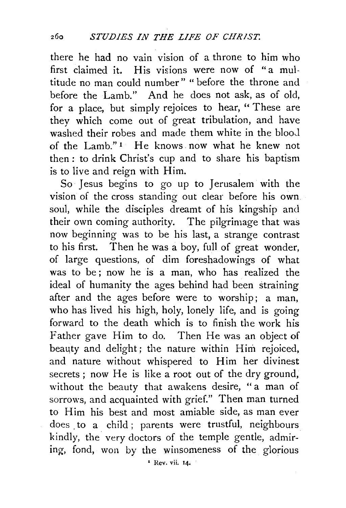there he had no vain vision of a throne to him who first claimed it. His visions were now of "a multitude no man could number" " before the throne and before the Lamb." And he does not ask, as of old, for a place, but simply rejoices to hear, "These are they which come out of great tribulation, and have washed their robes and made them white in the blood of the Lamb." 1 He knows now what he knew not then: to drink Christ's cup and to share his baptism is to live and reign with Him.

So· Jesus begins to go up to Jerusalem with the vision of the cross standing out clear before his own. soul, while the disciples dreamt of his kingship and their own coming authority. The pilgrimage that was now beginning was to be his last, a strange contrast to his first. Then he was a boy, full of great wonder, of large questions, of dim foreshadowings of what was to be; now he is a man, who has realized the ideal of humanity the ages behind had been straining after and the ages before were to worship; a man, who has lived his high, holy, lonely life, and is going forward to the death which is to finish the work his Father gave Him to do. Then He was an object of beauty and delight; the nature within Him rejoiced, and nature without whispered to Him her divinest secrets; now He is like a root out of the dry ground, without the beauty that awakens desire, "a man of sorrows, and acquainted with grief." Then man turned to Him his best and most amiable side, as man ever does to a child; parents were trustful, neighbours kindly, the very doctors of the temple gentle, admiring, fond, won by the winsomeness of the glorious

' Rev. vii. 14.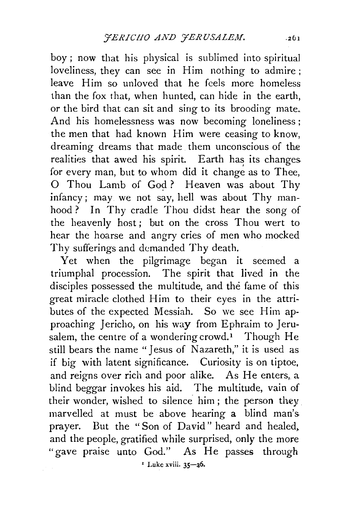boy ; now that his physical is sublimed into spiritual loveliness, they can see in Him nothing to admire ; leave Him so unloved that he feels more homeless than the fox that, when hunted, can hide in the earth, or the bird that can sit and sing to its brooding mate. And his homelessness was now becoming loneliness ; the men that had known Him were ceasing to know, dreaming dreams that made them unconscious of the realities that awed his spirit. Earth has its changes. for every man, but to whom did it change as to Thee, O Thou Lamb of God? Heaven was about Thy infancy; may we not say, hell was about Thy manhood? In Thy cradle Thou didst hear the song of the heavenly host; but on the cross Thou wert to hear the hoarse and angry cries of men who mocked Thy sufferings and demanded Thy death.

Yet when the pilgrimage began it seemed a triumphal procession. The spirit that lived in the disciples possessed the multitude, and the fame of this great miracle clothed Him to their eyes in the attributes of the expected Messiah. So we see Him approaching Jericho, on his way from Ephraim to Jerusalem, the centre of a wondering crowd.<sup>1</sup> Though He still bears the name "Jesus of Nazareth," it is used as if big with latent significance. Curiosity is on tiptoe, and reigns over rich and poor alike. As He enters, a blind beggar invokes his aid. The multitude, vain of their wonder, wished to silence him ; the person they marvelled at must be above hearing a blind man's. prayer. But the "Son of David" heard and healed, and the people, gratified while surprised, only the more "gave praise unto God." As He passes through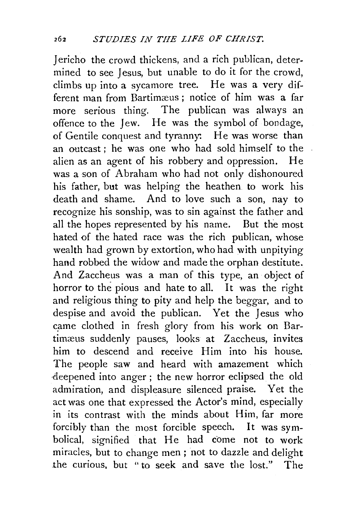Jericho the crowd thickens, and a rich publican, determined to see Jesus, but unable to do it for the crowd, climbs up into a sycamore tree. He was a very different man from Bartimæus; notice of him was a far more serious thing. The publican was always an offence to the Jew. He was the symbol of bondage, of Gentile conquest and tyranny: He was worse than an outcast; he was one who had sold himself to the alien as an agent of his robbery and oppression. He was a son of Abraham who had not only dishonoured his father, but was helping the heathen. to work his death and shame. And to love such a son, nay to recognize his sonship, was to sin against the father and all the hopes represented by his name. But the most hated of the hated race was the rich publican, whose wealth had grown by extortion, who had with unpitying hand robbed the widow and made the orphan destitute. And Zaccheus was a man of this type, an object of horror to the pious and hate to all. It was the right and religious thing to pity and help the beggar, and to despise and avoid the publican. Yet the Jesus who came clothed in fresh glory from his work on Bartimæus suddenly pauses, looks at Zaccheus, invites him to descend and receive Him into his house. The people saw and heard with amazement which deepened into anger; the new horror eclipsed the old admiration, and displeasure silenced praise. Yet the act was one that expressed the Actor's mind, especially in its contrast with the minds about Him, far more forcibly than the most forcible speech. It was symbolical, signified that He had come not to work miracles, but to change men ; not to dazzle and delight .the curious, but "to seek and save the lost." The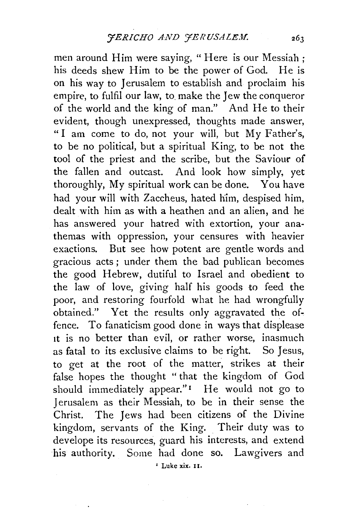men around Him were saying, "Here is our Messiah; his deeds shew Him to be the power of God. He is on his way to Jerusalem to establish and proclaim his empire, to fulfil our law, to. make the Jew the conqueror of the world and the king of man." And He to their evident, though unexpressed, thoughts made answer, "I am come to do, not your will, but My Father's, to be no political, but a spiritual King, to be not the tool of the priest and the scribe, but the Saviour of the fallen and outcast. And look how simply, yet thoroughly, My spiritual work can be done. You have had your will with Zaccheus, hated him, despised him, dealt with him as with a heathen and an alien, and he has answered your hatred with extortion, your anathemas with oppression, your censures with heavier exactions. But see how potent are gentle words and gracious acts ; under them the bad publican becomes the good Hebrew, dutiful to Israel and obedient to the law of love, giving half his goods to feed the poor, and restoring fourfold what he had wrongfully obtained." Yet the results only aggravated the offence. To fanaticism good done in ways that displease 1t is no better than evil, or rather worse, inasmuch as fatal to its exclusive claims to be right. So Jesus, to get at the root of the matter, strikes at their false hopes the thought " that the kingdom of God should immediately appear."<sup>I</sup> He would not go to Jerusalem as their Messiah, to be in their sense the Christ. The Jews had been citizens of the Divine kingdom, servants of the King. Their duty was to develope its resources, guard his interests, and extend his authority. Some had done so. Lawgivers and *'* Luke xix. u.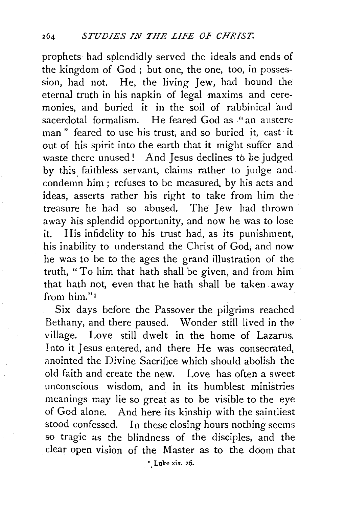prophets had splendidly served the ideals and ends of the kingdom of God ; but one, the one, too, in possession, had not. He, the living Jew, had bound the eternal truth in his napkin of legal maxims and ceremonies, and buried it in the soil of rabbinical and sacerdotal formalism. He feared God as "an austere man" feared to use his trust; and so buried it, cast· it out of his spirit into the earth that it might suffer and waste there unused! And Jesus declines to be judged by this faithless servant, claims rather to judge and condemn him ; refuses to be measured. by his acts and ideas, asserts rather his right to take from him the treasure he had so abused. The Jew had thrown away his splendid opportunity, and now he was to lose it. His infidelity to his trust had, as its punishment, his inability to understand the Christ of God; and now he was to be to the ages the grand illustration of the truth, "To him that hath shall be given, and from him that hath not, even that he hath shall be taken. away from him."<sup>1</sup>

Six days before the Passover the pilgrims reached Bethany, and there paused. Wonder still lived in the village. Love still dwelt in the home of Lazarus. Into it Jesus entered, and there He was consecrated, anointed the Divine Sacrifice which should abolish the old faith and create the new. Love has often a sweet unconscious wisdom, and in its humblest ministries meanings may lie so great as to be visible to the eye of God alone. And here its kinship with the saintliest stood confessed. In these closing hours nothing seems so tragic as the blindness of the disciples, and the clear open vision of the Master as to the doom that

'.Luke xix. 26.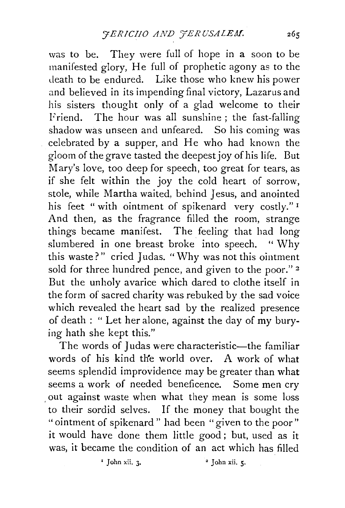was to be. They were full of hope in a soon to be manifested glory, He full of prophetic agony as to the death to be endured. Like those who knew his power and believed in its impending final victory, Lazarus and his sisters thought only of a glad welcome to their Friend. The hour was all sunshine ; the fast-falling shadow was unseen and unfeared. So his coming was celebrated by a supper, and He who had known the gloom of the grave tasted the deepest joy of his life. But Mary's love, too deep for speech, too great for tears, as if she felt within the joy the cold heart of sorrow, stole, while Martha waited, behind Jesus, and anointed his feet "with ointment of spikenard very costly."<sup>1</sup> And then, as the fragrance filled the room, strange things became manifest. The feeling that had long slumbered in one breast broke into speech. " Why this waste?" cried Judas. "Why was not this ointment sold for three hundred pence, and given to the poor."<sup>2</sup> But the unholy avarice which dared to clothe itself in the form of sacred charity was rebuked by the sad voice which revealed the heart sad by the realized presence of death : " Let her alone, against the day of my burying hath she kept this."

The words of Judas were characteristic-the familiar words of his kind the world over. A work of what seems splendid improvidence may be greater than what seems a work of needed beneficence. Some men cry , out against waste when what they mean is some loss to their sordid selves. If the money that bought the "ointment of spikenard" had been "given to the poor" it would have done them little good; but, used as it was, it became the condition of an act which has filled

 $\frac{1}{2}$  John xii. 3.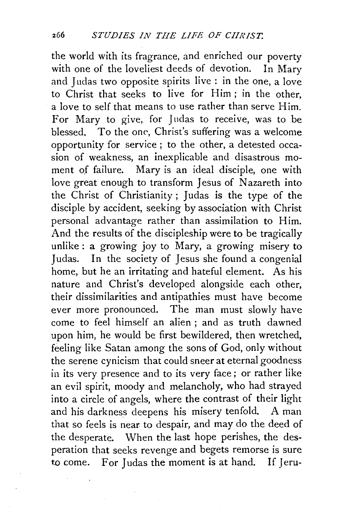the world with its fragrance, and enriched our poverty with one of the loveliest deeds of devotion. In Mary and Judas two opposite spirits live : in the one, a love to Christ that seeks to live for Him ; in the other, a love to self that means to use rather than serve Him. For Mary to give, for Judas to receive, was to be blessed, To the one, Christ's suffering was a welcome opportunity for service ; to the other, a detested occasion of weakness, an inexplicable and disastrous moment of failure. Mary is an ideal disciple, one with love great enough to transform Jesus of Nazareth into the Christ of Christianity ; Judas is the type of the disciple by accident, seeking by association with Christ personal advantage rather than assimilation to Him. And the results of the discipleship were to be tragically unlike : a growing joy to Mary, a growing misery to Judas. In the society of Jesus she found a congenial home, but he an irritating and hateful element. As his nature and Christ's developed alongside each other, their dissimilarities and antipathies must have become ever more pronounced. The man must slowly have come to feel himself an alien ; and as truth dawned upon him, he would be first bewildered, then wretched, feeling like Satan among the sons of God, only without the serene cynicism that could sneer at eternal goodness in its very presence and to its very face ; or rather like an evil spirit, moody and melancholy, who had strayed into a circle of angels, where the contrast of their light and his darkness deepens his misery tenfold. A man that so feels is near to despair, and may do the deed of the desperate. When the last hope perishes, the desperation that seeks revenge and begets remorse is sure to come. For Judas the moment is at hand. If Jeru-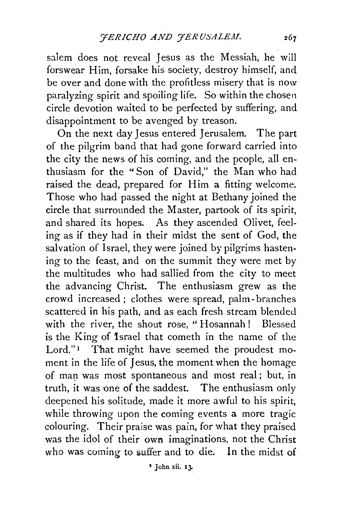salem does not reveal Jesus as the Messiah, he will forswear Him, forsake his society, destroy himself, and be over and done with the profitless misery that is now paralyzing spirit and spoiling life. So within the chosen circle devotion waited to be perfected by suffering, and disappointment to be avenged by treason.

On the next day Jesus entered Jerusalem. The part of the pilgrim band that had gone forward carried into the city the news of his coming, and the people, all enthusiasm for the "Son of David," the Man who had raised the dead, prepared for Him a fitting welcome. Those who had passed the night at Bethany joined the circle that surrounded the Master, partook of its spirit, and shared its hopes. As they ascended Olivet, feeling as if they had in their midst the sent of God, the salvation of Israel, they were joined by pilgrims hastening to the feast, and on the summit they were met by the multitudes who had sallied from the city to meet the advancing Christ. The enthusiasm grew as the crowd increased ; clothes were spread, palm- branches scattered in his path, and as each fresh stream blended. with the river, the shout rose, "Hosannah! Blessed is the King of 1srael that cometh in the name of the Lord."<sup>1</sup> That might have seemed the proudest moment in the life of Jesus, the moment when the homage of man was most spontaneous and most real; but, in truth, it was one of the saddest. The enthusiasm only deepened his solitude, made it more awful to his spirit, while throwing upon the coming events a more tragic colouring. Their praise was pain, for what they praised was the idol of their own imaginations, not the Christ who was coming to suffer and to die. In the midst of

~ John xii. 13-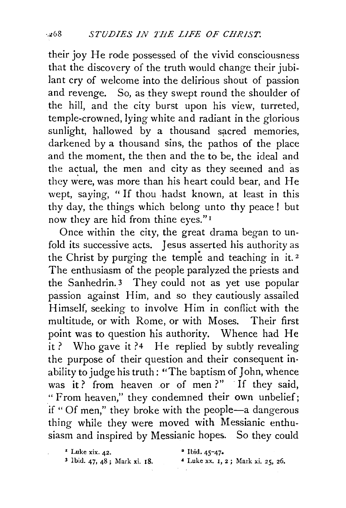their joy He rode possessed of the vivid consciousness that the discovery of the truth would change their jubilant cry of welcome into the delirious shout of passion and revenge. So, as they swept round the shoulder of the hill, and the city burst upon his view, turreted, temple-crowned, lying white and radiant in the glorious sunlight, hallowed by a thousand sacred memories, darkened by a thousand sins, the pathos of the place and the moment, the then and the to be, the ideal and the actual, the men and city as they seemed and as they were, was more than his heart could bear, and He wept, saying, " If thou hadst known, at least in this thy day, the things which belong unto thy peace! but now they are hid from thine eyes." 1

Once within the city, the great drama began to unfold its successive acts. Jesus asserted his authority as the Christ by purging the temple and teaching in it.<sup>2</sup> The enthusiasm of the people paralyzed the priests and the Sanhedrin.<sup>3</sup> They could not as yet use popular passion against Him, and so they cautiously assailed Himself, seeking to involve Him in conflict with the multitude, or with Rome, or with Moses. Their first point was to question his authority. Whence had He it ? Who gave it ?4 He replied by subtly revealing the purpose of their question and their consequent inability to judge his truth: "The baptism of John, whence was it? from heaven or of men?" If they said, "From heaven," they condemned their own unbelief; if " Of men," they broke with the people-a dangerous thing while they were moved with Messianic enthusiasm and inspired by Messianic hopes. So they could

*•* Luke xix. 42. • Ibid. 45-47• 3 Ibid. 47, 48; Mark xi. 18. • Luke xx. 1, 2 ; Mark xi. 25, 26.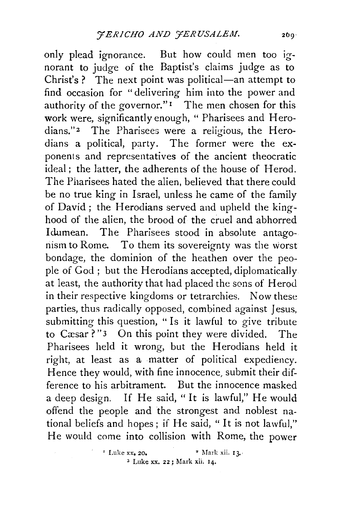only plead ignorance. But how could men too ignorant to judge of the Baptist's claims judge as to Christ's ? The next point was political-an attempt to find occasion for "delivering him into the power and authority of the governor." $\mathbf{I}$  The men chosen for this work were, significantly enough, "Pharisees and Herodians."2 The Pharisees were a religious, the Herodians a political, party. The former were the exponents and representatives of the ancient theocratic ideal; the latter, the adherents of the house of Herod. The Pharisees hated the alien, believed that there could be no true king in Israel, unless he came of the family of David ; the Herodians served and upheld the kinghood of the alien, the brood of the cruel and abhorred Idumean. The Pharisees stood in absolute antagonism to Rome. To them its sovereignty was the worst bondage, the dominion of the heathen over the people of God ; but the Herodians accepted, diplomatically at least, the authority that had placed the sons of Herod in their respective kingdoms or tetrarchies. Now these parties, thus radically opposed, combined against Jesus, submitting this question, "Is it lawful to give tribute to Cæsar?"3 On this point they were divided. The Pharisees held it wrong, but the Herodians held it right, at least as a matter of political expediency. Hence they would, with fine innocence, submit their difference to his arbitrament. But the innocence masked a deep design. If He said, "It is lawful," He would offend the people and the strongest and noblest national beliefs and hopes; if He said, " lt is not lawful," He would come into collision with Rome, the power

 $\Gamma$  Luke xx, 20. •  $\Gamma$  Mark xii. I 3. 3 Luke xx. 22 ; Mark xii, 14.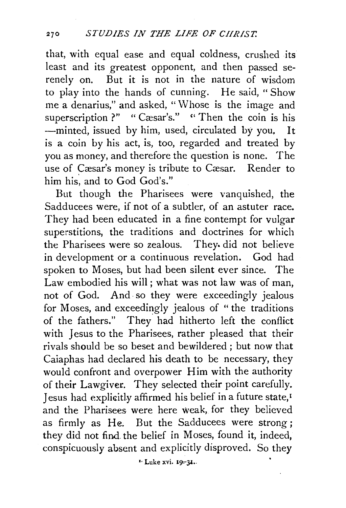that, with equal ease and equal coldness, crushed its least and its greatest opponent, and then passed serenely on. But it is not in the nature of wisdom to play into the hands of cunning. He said, " Show me a denarius," and asked, "Whose is the image and superscription ?" " Cæsar's." " Then the coin is his -minted, issued by him, used, circulated by you. It is a coin by his act, is, too, regarded and treated by you as money, and therefore the question is none. The use of Cæsar's money is tribute to Cæsar. Render to him his, and to God God's."

But though the Pharisees were vanquished, the Sadducees were, if not of a subtler, of an astuter race. They had been educated in a fine contempt for vulgar superstitions, the traditions and doctrines for which the Pharisees were so zealous. They. did not believe in development or a continuous revelation. God had spoken to Moses, but had been silent ever since. The Law embodied his will; what was not law was of man, not of God. And· so they were exceedingly jealous for Moses, and exceedingly jealous of "the traditions of the fathers." They had hitherto left the conflict with Jesus to the Pharisees, rather pleased that their rivals should be so beset and bewildered ; but now that Caiaphas had declared his death to be necessary, they would confront and overpower Him with the authority of their Lawgiver. They selected their point carefully. Jesus had explicitly affirmed his belief in a future state,<sup>1</sup> and the Pharisees were here weak, for they believed as firmly as He. But the Sadducees were strong; they did not find the belief in Moses, found it, indeed, conspicuously absent and explicitly disproved. So they

<sup>1.</sup> Luke xvi. 19-31.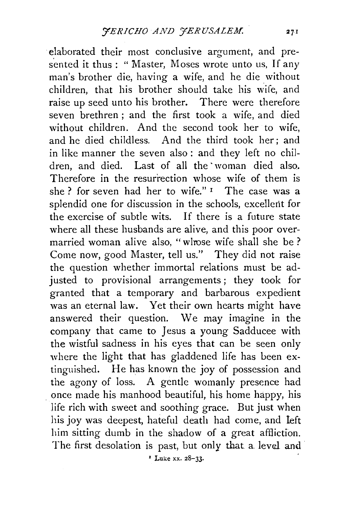elaborated their most conclusive argument, and presented it thus : " Master, Moses wrote unto us, If any man's brother die, having a wife, and he die without children, that his brother should take his wife, and raise up seed unto his brother. There were therefore seven brethren ; and the first took a wife, and died without children. And the second took her to wife, and he died childless. And the third took her; and in like manner the seven also : and they left no children, and died. Last of all the woman died also. Therefore in the resurrection whose wife of them is she ? for seven had her to wife."<sup>1</sup> The case was a splendid one for discussion in the schools, excellent for the exercise of subtle wits. If there is a future state where all these husbands are alive, and this poor overmarried woman alive also, "whose wife shall she be ? Come now, good Master, tell us." They did not raise the question whether immortal relations must be adjusted to provisional arrangements; they took for granted that a temporary and barbarous expedient was an eternal law. Yet their own hearts might have answered their question. We may imagine in the company that came to Jesus a young Sadducee with the wistful sadness in his eyes that can be seen only where the light that has gladdened life has been extinguished. He has known the joy of possession and the agony of loss. A gentle womanly presence had . once made his manhood beautiful, his home happy, his life rich with sweet and soothing grace. But just when his joy was deepest, hateful death had come, and left him sitting dumb in the shadow of a great affliction. The first desolation is past, but only that a level and

<sup>2</sup> Luke xx. 28-33.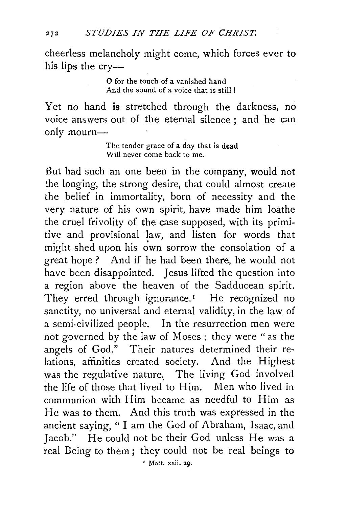cheerless melancholy might come, which forces ever to his lips the cry-

> o for the touch of a vanished hand And the sound of a voice that is still !

Yet no hand is stretched through the darkness, no voice answers out of the eternal silence ; and he can only mourn-

> The tender grace of a day that is dead Will never come back to me.

But had such an one been in the company, would not the longing, the strong desire, that could almost create the belief in immortality, born of necessity and the very nature of his own spirit, have made him loathe the cruel frivolity of the case supposed, with its primitive and provisional law, and listen for words that might shed upon his own sorrow the consolation of a great hope ? And if he had been there, he would not have been disappointed. Jesus lifted the question into a region above the heaven of the Sadducean spirit. They erred through ignorance.<sup>1</sup> He recognized no sanctity, no universal and eternal validity, in the law of a semi-civilized people. In the resurrection men were not governed by the law of Moses ; they were "as the angels of God." Their natures determined their relations, affinities created society. And the Highest was the regulative nature. The living God involved the life of those that lived to Him. Men who lived in communion with Him became as needful to Him as He was to them. And this truth was expressed in the ancient saying, " I am the God of Abraham, Isaac, and Jacob.'' He could not be their God unless He was a real Being to them ; they could not be real beings to

' Matt. xxii. 29.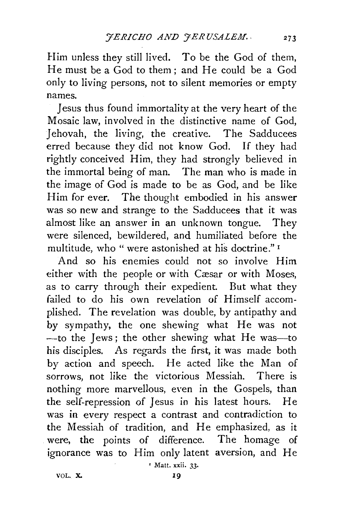Him unless they still lived. To be the God of them, He must be a God to them; and He could be a God only to living persons, not to silent memories or empty names.

Jesus thus found immortality at the very heart of the Mosaic law, involved in the distinctive name of God, Jehovah, the living, the creative. The Sadducees erred because they did not know God. If they had rightly conceived Him, they had strongly believed in the immortal being of man. The man who is made in the image of God is made to be as God, and be like Him for ever. The thought embodied in his answer was so new and strange to the Sadducees that it was almost like an answer in an unknown tongue. They were silenced, bewildered, and humiliated before the multitude, who " were astonished at his doctrine." <sup>1</sup>

And so his enemies could not so involve Him either with the people or with Cæsar or with Moses, as to carry through their expedient. But what they failed to do his own revelation of Himself accomplished. The revelation was double, by antipathy and by sympathy, the one shewing what He was not -to the Jews; the other shewing what He was-to his disciples. As regards the first, it was made both by action and speech. He acted like the Man of sorrows, not like the victorious Messiah. There is nothing more marvellous, even in the Gospels, than the self-repression of Jesus in his latest hours. He was in every respect a contrast and contradiction to the Messiah of tradition, and He emphasized, as it were, the points of difference. The homage of ignorance was to Him only latent aversion, and He

' Matt. xxii. 33·

VOL. X. 19